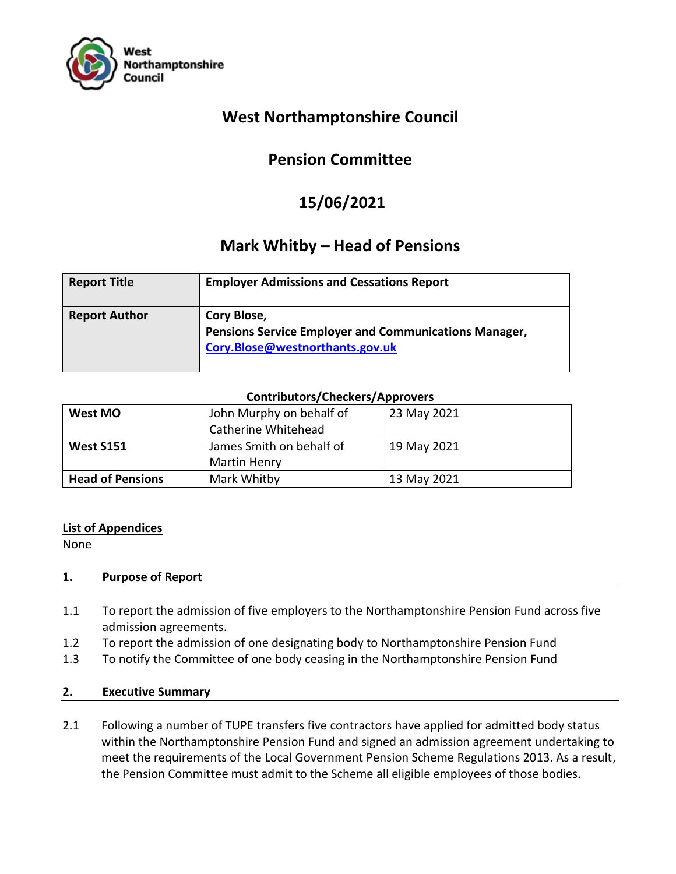

## **West Northamptonshire Council**

# **Pension Committee**

# **15/06/2021**

## **Mark Whitby – Head of Pensions**

| <b>Report Title</b>  | <b>Employer Admissions and Cessations Report</b>                                                               |
|----------------------|----------------------------------------------------------------------------------------------------------------|
| <b>Report Author</b> | Cory Blose,<br><b>Pensions Service Employer and Communications Manager,</b><br>Cory.Blose@westnorthants.gov.uk |

## **Contributors/Checkers/Approvers**

| West MO                 | John Murphy on behalf of | 23 May 2021 |
|-------------------------|--------------------------|-------------|
|                         | Catherine Whitehead      |             |
| <b>West S151</b>        | James Smith on behalf of | 19 May 2021 |
|                         | <b>Martin Henry</b>      |             |
| <b>Head of Pensions</b> | Mark Whitby              | 13 May 2021 |

## **List of Appendices**

None

## **1. Purpose of Report**

- 1.1 To report the admission of five employers to the Northamptonshire Pension Fund across five admission agreements.
- 1.2 To report the admission of one designating body to Northamptonshire Pension Fund
- 1.3 To notify the Committee of one body ceasing in the Northamptonshire Pension Fund

## **2. Executive Summary**

2.1 Following a number of TUPE transfers five contractors have applied for admitted body status within the Northamptonshire Pension Fund and signed an admission agreement undertaking to meet the requirements of the Local Government Pension Scheme Regulations 2013. As a result, the Pension Committee must admit to the Scheme all eligible employees of those bodies.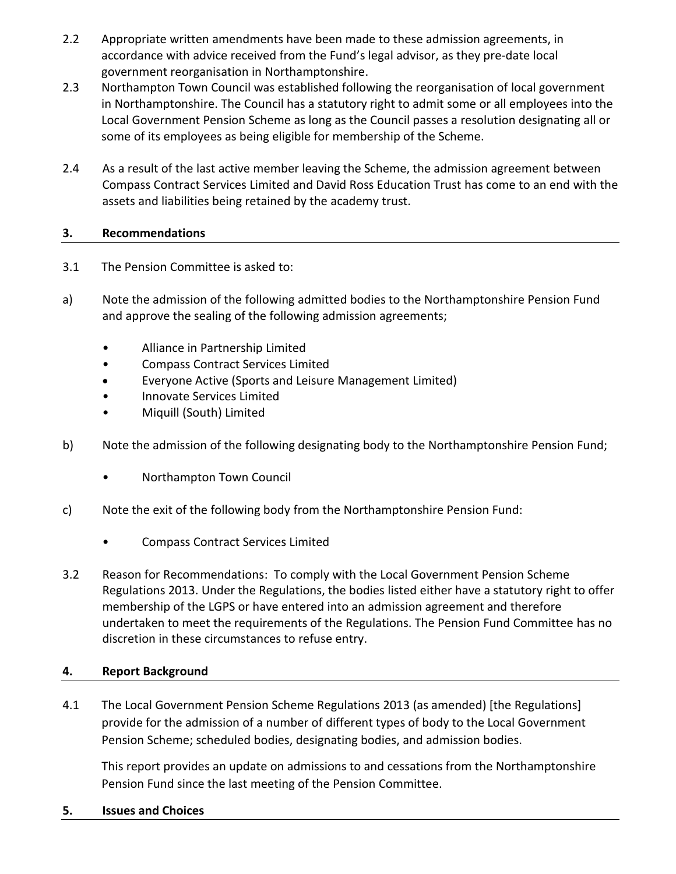- 2.2 Appropriate written amendments have been made to these admission agreements, in accordance with advice received from the Fund's legal advisor, as they pre-date local government reorganisation in Northamptonshire.
- 2.3 Northampton Town Council was established following the reorganisation of local government in Northamptonshire. The Council has a statutory right to admit some or all employees into the Local Government Pension Scheme as long as the Council passes a resolution designating all or some of its employees as being eligible for membership of the Scheme.
- 2.4 As a result of the last active member leaving the Scheme, the admission agreement between Compass Contract Services Limited and David Ross Education Trust has come to an end with the assets and liabilities being retained by the academy trust.

## **3. Recommendations**

- 3.1 The Pension Committee is asked to:
- a) Note the admission of the following admitted bodies to the Northamptonshire Pension Fund and approve the sealing of the following admission agreements;
	- Alliance in Partnership Limited
	- Compass Contract Services Limited
	- Everyone Active (Sports and Leisure Management Limited)
	- Innovate Services Limited
	- Miquill (South) Limited
- b) Note the admission of the following designating body to the Northamptonshire Pension Fund;
	- Northampton Town Council
- c) Note the exit of the following body from the Northamptonshire Pension Fund:
	- Compass Contract Services Limited
- 3.2 Reason for Recommendations: To comply with the Local Government Pension Scheme Regulations 2013. Under the Regulations, the bodies listed either have a statutory right to offer membership of the LGPS or have entered into an admission agreement and therefore undertaken to meet the requirements of the Regulations. The Pension Fund Committee has no discretion in these circumstances to refuse entry.

## **4. Report Background**

4.1 The Local Government Pension Scheme Regulations 2013 (as amended) [the Regulations] provide for the admission of a number of different types of body to the Local Government Pension Scheme; scheduled bodies, designating bodies, and admission bodies.

This report provides an update on admissions to and cessations from the Northamptonshire Pension Fund since the last meeting of the Pension Committee.

**5. Issues and Choices**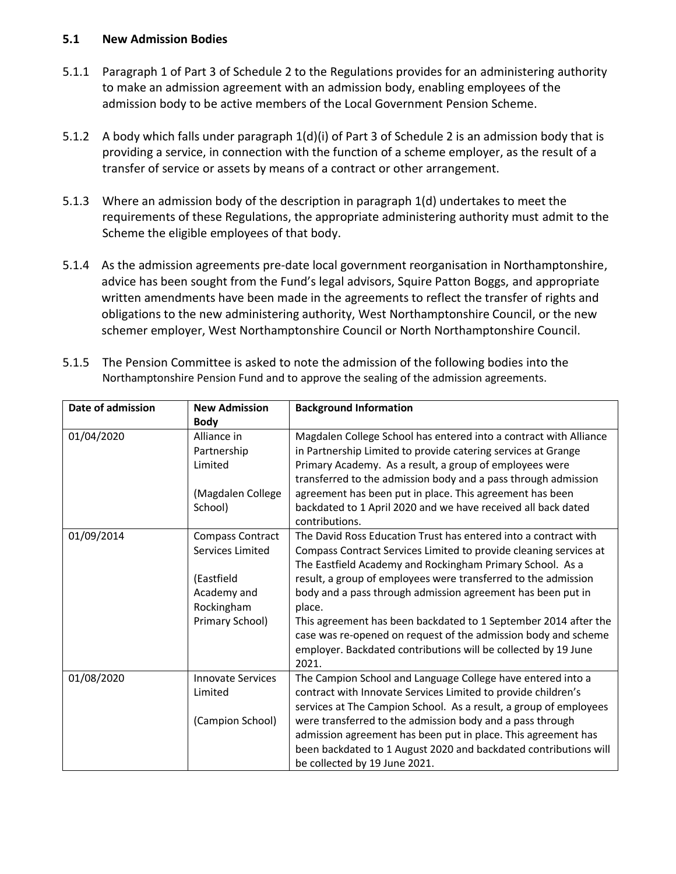#### **5.1 New Admission Bodies**

- 5.1.1 Paragraph 1 of Part 3 of Schedule 2 to the Regulations provides for an administering authority to make an admission agreement with an admission body, enabling employees of the admission body to be active members of the Local Government Pension Scheme.
- 5.1.2 A body which falls under paragraph 1(d)(i) of Part 3 of Schedule 2 is an admission body that is providing a service, in connection with the function of a scheme employer, as the result of a transfer of service or assets by means of a contract or other arrangement.
- 5.1.3 Where an admission body of the description in paragraph 1(d) undertakes to meet the requirements of these Regulations, the appropriate administering authority must admit to the Scheme the eligible employees of that body.
- 5.1.4 As the admission agreements pre-date local government reorganisation in Northamptonshire, advice has been sought from the Fund's legal advisors, Squire Patton Boggs, and appropriate written amendments have been made in the agreements to reflect the transfer of rights and obligations to the new administering authority, West Northamptonshire Council, or the new schemer employer, West Northamptonshire Council or North Northamptonshire Council.

| 5.1.5 The Pension Committee is asked to note the admission of the following bodies into the |
|---------------------------------------------------------------------------------------------|
| Northamptonshire Pension Fund and to approve the sealing of the admission agreements.       |

| Date of admission | <b>New Admission</b>     | <b>Background Information</b>                                     |
|-------------------|--------------------------|-------------------------------------------------------------------|
|                   | <b>Body</b>              |                                                                   |
| 01/04/2020        | Alliance in              | Magdalen College School has entered into a contract with Alliance |
|                   | Partnership              | in Partnership Limited to provide catering services at Grange     |
|                   | Limited                  | Primary Academy. As a result, a group of employees were           |
|                   |                          | transferred to the admission body and a pass through admission    |
|                   | (Magdalen College        | agreement has been put in place. This agreement has been          |
|                   | School)                  | backdated to 1 April 2020 and we have received all back dated     |
|                   |                          | contributions.                                                    |
| 01/09/2014        | Compass Contract         | The David Ross Education Trust has entered into a contract with   |
|                   | Services Limited         | Compass Contract Services Limited to provide cleaning services at |
|                   |                          | The Eastfield Academy and Rockingham Primary School. As a         |
|                   | (Eastfield               | result, a group of employees were transferred to the admission    |
|                   | Academy and              | body and a pass through admission agreement has been put in       |
|                   | Rockingham               | place.                                                            |
|                   | Primary School)          | This agreement has been backdated to 1 September 2014 after the   |
|                   |                          | case was re-opened on request of the admission body and scheme    |
|                   |                          | employer. Backdated contributions will be collected by 19 June    |
|                   |                          | 2021.                                                             |
| 01/08/2020        | <b>Innovate Services</b> | The Campion School and Language College have entered into a       |
|                   | Limited                  | contract with Innovate Services Limited to provide children's     |
|                   |                          | services at The Campion School. As a result, a group of employees |
|                   | (Campion School)         | were transferred to the admission body and a pass through         |
|                   |                          | admission agreement has been put in place. This agreement has     |
|                   |                          | been backdated to 1 August 2020 and backdated contributions will  |
|                   |                          | be collected by 19 June 2021.                                     |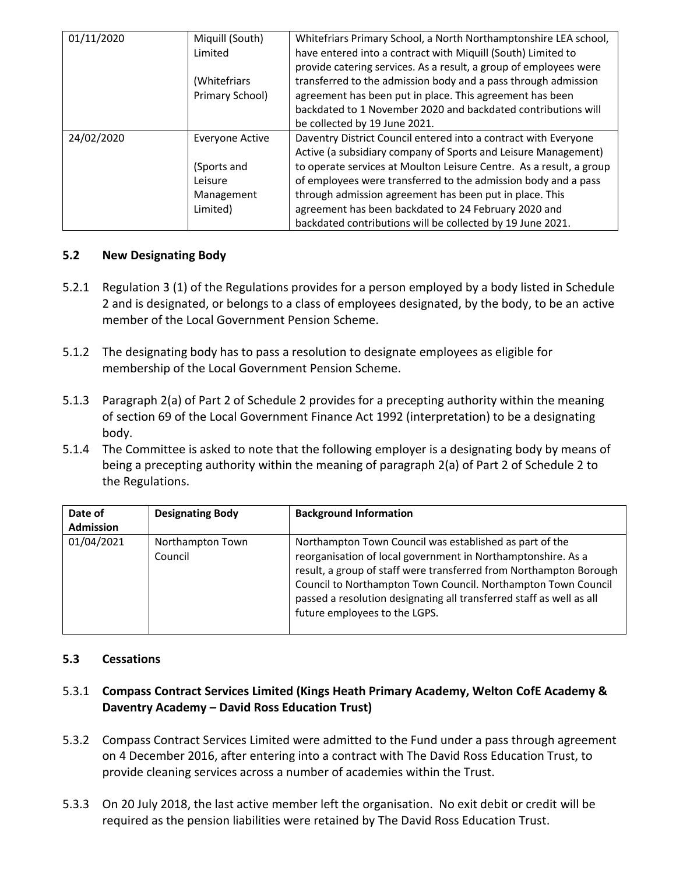| 01/11/2020 | Miquill (South) | Whitefriars Primary School, a North Northamptonshire LEA school,    |  |  |
|------------|-----------------|---------------------------------------------------------------------|--|--|
| Limited    |                 | have entered into a contract with Miquill (South) Limited to        |  |  |
|            |                 | provide catering services. As a result, a group of employees were   |  |  |
|            | (Whitefriars    | transferred to the admission body and a pass through admission      |  |  |
|            | Primary School) | agreement has been put in place. This agreement has been            |  |  |
|            |                 | backdated to 1 November 2020 and backdated contributions will       |  |  |
|            |                 | be collected by 19 June 2021.                                       |  |  |
| 24/02/2020 | Everyone Active | Daventry District Council entered into a contract with Everyone     |  |  |
|            |                 | Active (a subsidiary company of Sports and Leisure Management)      |  |  |
|            | (Sports and     | to operate services at Moulton Leisure Centre. As a result, a group |  |  |
|            | Leisure         | of employees were transferred to the admission body and a pass      |  |  |
|            | Management      | through admission agreement has been put in place. This             |  |  |
|            | Limited)        | agreement has been backdated to 24 February 2020 and                |  |  |
|            |                 | backdated contributions will be collected by 19 June 2021.          |  |  |

## **5.2 New Designating Body**

- 5.2.1 Regulation 3 (1) of the Regulations provides for a person employed by a body listed in Schedule 2 and is designated, or belongs to a class of employees designated, by the body, to be an active member of the Local Government Pension Scheme.
- 5.1.2 The designating body has to pass a resolution to designate employees as eligible for membership of the Local Government Pension Scheme.
- 5.1.3 Paragraph 2(a) of Part 2 of Schedule 2 provides for a precepting authority within the meaning of section 69 of the Local Government Finance Act 1992 (interpretation) to be a designating body.
- 5.1.4 The Committee is asked to note that the following employer is a designating body by means of being a precepting authority within the meaning of paragraph 2(a) of Part 2 of Schedule 2 to the Regulations.

| Date of          | <b>Designating Body</b>     | <b>Background Information</b>                                                                                                                                                                                                                                                                                                                                           |
|------------------|-----------------------------|-------------------------------------------------------------------------------------------------------------------------------------------------------------------------------------------------------------------------------------------------------------------------------------------------------------------------------------------------------------------------|
| <b>Admission</b> |                             |                                                                                                                                                                                                                                                                                                                                                                         |
| 01/04/2021       | Northampton Town<br>Council | Northampton Town Council was established as part of the<br>reorganisation of local government in Northamptonshire. As a<br>result, a group of staff were transferred from Northampton Borough<br>Council to Northampton Town Council. Northampton Town Council<br>passed a resolution designating all transferred staff as well as all<br>future employees to the LGPS. |

## **5.3 Cessations**

## 5.3.1 **Compass Contract Services Limited (Kings Heath Primary Academy, Welton CofE Academy & Daventry Academy – David Ross Education Trust)**

- 5.3.2 Compass Contract Services Limited were admitted to the Fund under a pass through agreement on 4 December 2016, after entering into a contract with The David Ross Education Trust, to provide cleaning services across a number of academies within the Trust.
- 5.3.3 On 20 July 2018, the last active member left the organisation. No exit debit or credit will be required as the pension liabilities were retained by The David Ross Education Trust.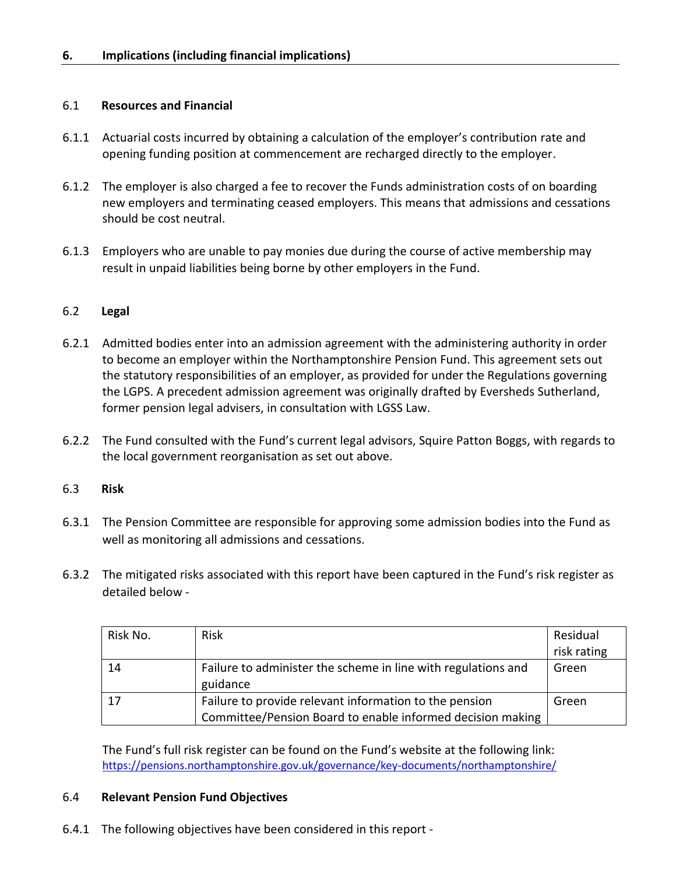#### 6.1 **Resources and Financial**

- 6.1.1 Actuarial costs incurred by obtaining a calculation of the employer's contribution rate and opening funding position at commencement are recharged directly to the employer.
- 6.1.2 The employer is also charged a fee to recover the Funds administration costs of on boarding new employers and terminating ceased employers. This means that admissions and cessations should be cost neutral.
- 6.1.3 Employers who are unable to pay monies due during the course of active membership may result in unpaid liabilities being borne by other employers in the Fund.

#### 6.2 **Legal**

- 6.2.1 Admitted bodies enter into an admission agreement with the administering authority in order to become an employer within the Northamptonshire Pension Fund. This agreement sets out the statutory responsibilities of an employer, as provided for under the Regulations governing the LGPS. A precedent admission agreement was originally drafted by Eversheds Sutherland, former pension legal advisers, in consultation with LGSS Law.
- 6.2.2 The Fund consulted with the Fund's current legal advisors, Squire Patton Boggs, with regards to the local government reorganisation as set out above.

#### 6.3 **Risk**

- 6.3.1 The Pension Committee are responsible for approving some admission bodies into the Fund as well as monitoring all admissions and cessations.
- 6.3.2 The mitigated risks associated with this report have been captured in the Fund's risk register as detailed below -

| Risk No. | <b>Risk</b>                                                   | Residual    |
|----------|---------------------------------------------------------------|-------------|
|          |                                                               | risk rating |
| 14       | Failure to administer the scheme in line with regulations and | Green       |
|          | guidance                                                      |             |
| 17       | Failure to provide relevant information to the pension        | Green       |
|          | Committee/Pension Board to enable informed decision making    |             |

The Fund's full risk register can be found on the Fund's website at the following link: <https://pensions.northamptonshire.gov.uk/governance/key-documents/northamptonshire/>

#### 6.4 **Relevant Pension Fund Objectives**

6.4.1 The following objectives have been considered in this report -